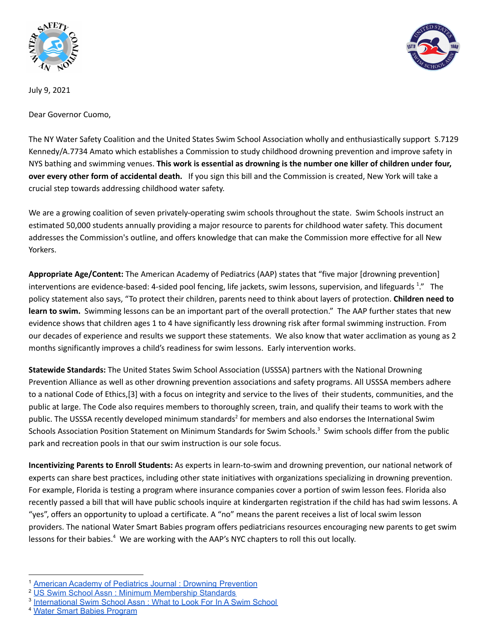



July 9, 2021

Dear Governor Cuomo,

The NY Water Safety Coalition and the United States Swim School Association wholly and enthusiastically support S.7129 Kennedy/A.7734 Amato which establishes a Commission to study childhood drowning prevention and improve safety in NYS bathing and swimming venues. **This work is essential as drowning is the number one killer of children under four, over every other form of accidental death.** If you sign this bill and the Commission is created, New York will take a crucial step towards addressing childhood water safety.

We are a growing coalition of seven privately-operating swim schools throughout the state. Swim Schools instruct an estimated 50,000 students annually providing a major resource to parents for childhood water safety. This document addresses the Commission's outline, and offers knowledge that can make the Commission more effective for all New Yorkers.

**Appropriate Age/Content:** The American Academy of Pediatrics (AAP) states that "five major [drowning prevention] interventions are evidence-based: 4-sided pool fencing, life jackets, swim lessons, supervision, and lifeguards <sup>1</sup>." The policy statement also says, "To protect their children, parents need to think about layers of protection. **Children need to learn to swim.** Swimming lessons can be an important part of the overall protection." The AAP further states that new evidence shows that children ages 1 to 4 have significantly less drowning risk after formal swimming instruction. From our decades of experience and results we support these statements. We also know that water acclimation as young as 2 months significantly improves a child's readiness for swim lessons. Early intervention works.

**Statewide Standards:** The United States Swim School Association (USSSA) partners with the National Drowning Prevention Alliance as well as other drowning prevention associations and safety programs. All USSSA members adhere to a national Code of Ethics,[3] with a focus on integrity and service to the lives of their students, communities, and the public at large. The Code also requires members to thoroughly screen, train, and qualify their teams to work with the public. The USSSA recently developed minimum standards<sup>2</sup> for members and also endorses the International Swim Schools Association Position Statement on Minimum Standards for Swim Schools.<sup>3</sup> Swim schools differ from the public park and recreation pools in that our swim instruction is our sole focus.

**Incentivizing Parents to Enroll Students:** As experts in learn-to-swim and drowning prevention, our national network of experts can share best practices, including other state initiatives with organizations specializing in drowning prevention. For example, Florida is testing a program where insurance companies cover a portion of swim lesson fees. Florida also recently passed a bill that will have public schools inquire at kindergarten registration if the child has had swim lessons. A "yes", offers an opportunity to upload a certificate. A "no" means the parent receives a list of local swim lesson providers. The national Water Smart Babies program offers pediatricians resources encouraging new parents to get swim lessons for their babies.<sup>4</sup> We are working with the AAP's NYC chapters to roll this out locally.

<sup>&</sup>lt;sup>1</sup> American Academy of Pediatrics Journal: Drowning [Prevention](https://pediatrics.aappublications.org/content/143/5/e20190850)

<sup>&</sup>lt;sup>2</sup> US Swim School Assn : Minimum [Membership](https://www.usswimschools.org/usssa-minimum-membership-standards/) Standards

<sup>&</sup>lt;sup>3</sup> [International](https://assa-website.s3-ap-southeast-2.amazonaws.com/resources/swim+schools/international-swim-school/ISSA-Position-Statement-3-Good-Swim-Schools-ENDORSED.pdf) Swim School Assn: What to Look For In A Swim School

<sup>4</sup> Water Smart Babies [Program](https://www.watersmartbabies.com/)